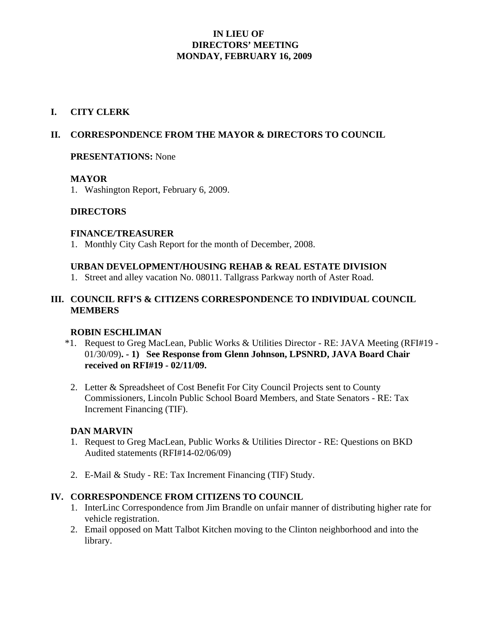# **IN LIEU OF DIRECTORS' MEETING MONDAY, FEBRUARY 16, 2009**

## **I. CITY CLERK**

## **II. CORRESPONDENCE FROM THE MAYOR & DIRECTORS TO COUNCIL**

#### **PRESENTATIONS:** None

#### **MAYOR**

1. Washington Report, February 6, 2009.

## **DIRECTORS**

#### **FINANCE/TREASURER**

1. Monthly City Cash Report for the month of December, 2008.

#### **URBAN DEVELOPMENT/HOUSING REHAB & REAL ESTATE DIVISION**

1. Street and alley vacation No. 08011. Tallgrass Parkway north of Aster Road.

## **III. COUNCIL RFI'S & CITIZENS CORRESPONDENCE TO INDIVIDUAL COUNCIL MEMBERS**

#### **ROBIN ESCHLIMAN**

- \*1. Request to Greg MacLean, Public Works & Utilities Director RE: JAVA Meeting (RFI#19 01/30/09)**. - 1) See Response from Glenn Johnson, LPSNRD, JAVA Board Chair received on RFI#19 - 02/11/09.**
- 2. Letter & Spreadsheet of Cost Benefit For City Council Projects sent to County Commissioners, Lincoln Public School Board Members, and State Senators - RE: Tax Increment Financing (TIF).

#### **DAN MARVIN**

- 1. Request to Greg MacLean, Public Works & Utilities Director RE: Questions on BKD Audited statements (RFI#14-02/06/09)
- 2. E-Mail & Study RE: Tax Increment Financing (TIF) Study.

## **IV. CORRESPONDENCE FROM CITIZENS TO COUNCIL**

- 1. InterLinc Correspondence from Jim Brandle on unfair manner of distributing higher rate for vehicle registration.
- 2. Email opposed on Matt Talbot Kitchen moving to the Clinton neighborhood and into the library.